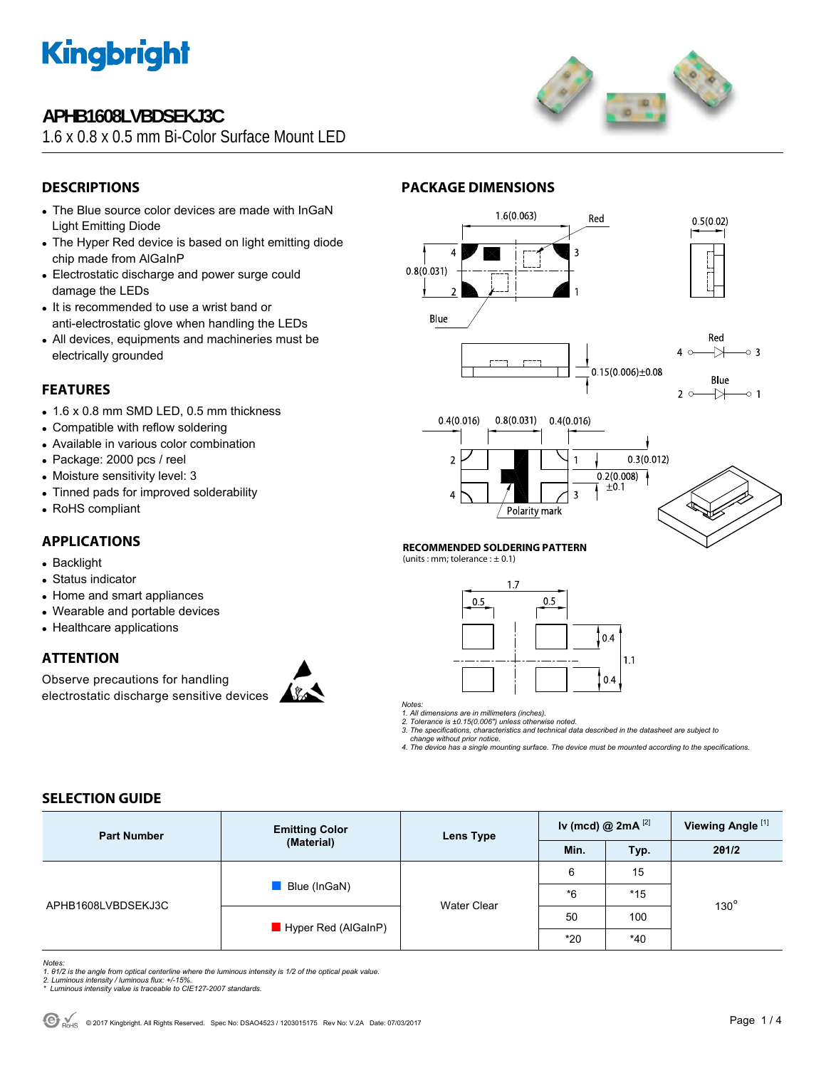

## **APHB1608LVBDSEKJ3C**

1.6 x 0.8 x 0.5 mm Bi-Color Surface Mount LED



## **DESCRIPTIONS**

- The Blue source color devices are made with InGaN Light Emitting Diode
- The Hyper Red device is based on light emitting diode chip made from AlGaInP
- Electrostatic discharge and power surge could damage the LEDs
- It is recommended to use a wrist band or anti-electrostatic glove when handling the LEDs
- All devices, equipments and machineries must be electrically grounded

### **FEATURES**

- $\bullet$  1.6 x 0.8 mm SMD LED, 0.5 mm thickness
- Compatible with reflow soldering
- Available in various color combination
- Package: 2000 pcs / reel
- Moisture sensitivity level: 3
- Tinned pads for improved solderability
- RoHS compliant

## **APPLICATIONS**

- Backlight
- Status indicator
- Home and smart appliances
- Wearable and portable devices
- Healthcare applications

### **ATTENTION**

Observe precautions for handling electrostatic discharge sensitive devices









#### **RECOMMENDED SOLDERING PATTERN**

**PACKAGE DIMENSIONS** 

(units : mm; tolerance :  $\pm$  0.1)



*Notes:* 

*1. All dimensions are in millimeters (inches). 2. Tolerance is ±0.15(0.006") unless otherwise noted.* 

*3. The specifications, characteristics and technical data described in the datasheet are subject to change without prior notice.* 

*4. The device has a single mounting surface. The device must be mounted according to the specifications.* 

### **SELECTION GUIDE**

| <b>Part Number</b> | <b>Emitting Color</b><br>(Material) | Lens Type          | Iv (mcd) $@2mA$ <sup>[2]</sup> |       | Viewing Angle <sup>[1]</sup> |  |
|--------------------|-------------------------------------|--------------------|--------------------------------|-------|------------------------------|--|
|                    |                                     |                    | Min.                           | Typ.  | 201/2                        |  |
| APHB1608LVBDSEKJ3C | Blue (InGaN)                        | <b>Water Clear</b> | 6                              | 15    |                              |  |
|                    |                                     |                    | $*6$                           | $*15$ | $130^\circ$                  |  |
|                    | $\blacksquare$ Hyper Red (AlGaInP)  |                    | 50                             | 100   |                              |  |
|                    |                                     |                    | $*20$                          | $*40$ |                              |  |

*Notes:* 

- 1. 01/2 is the angle from optical centerline where the luminous intensity is 1/2 of the optical peak value.<br>2. Luminous intensity / luminous flux: +/-15%.<br>\* Luminous intensity value is traceable to CIE127-2007 standards.
- 
-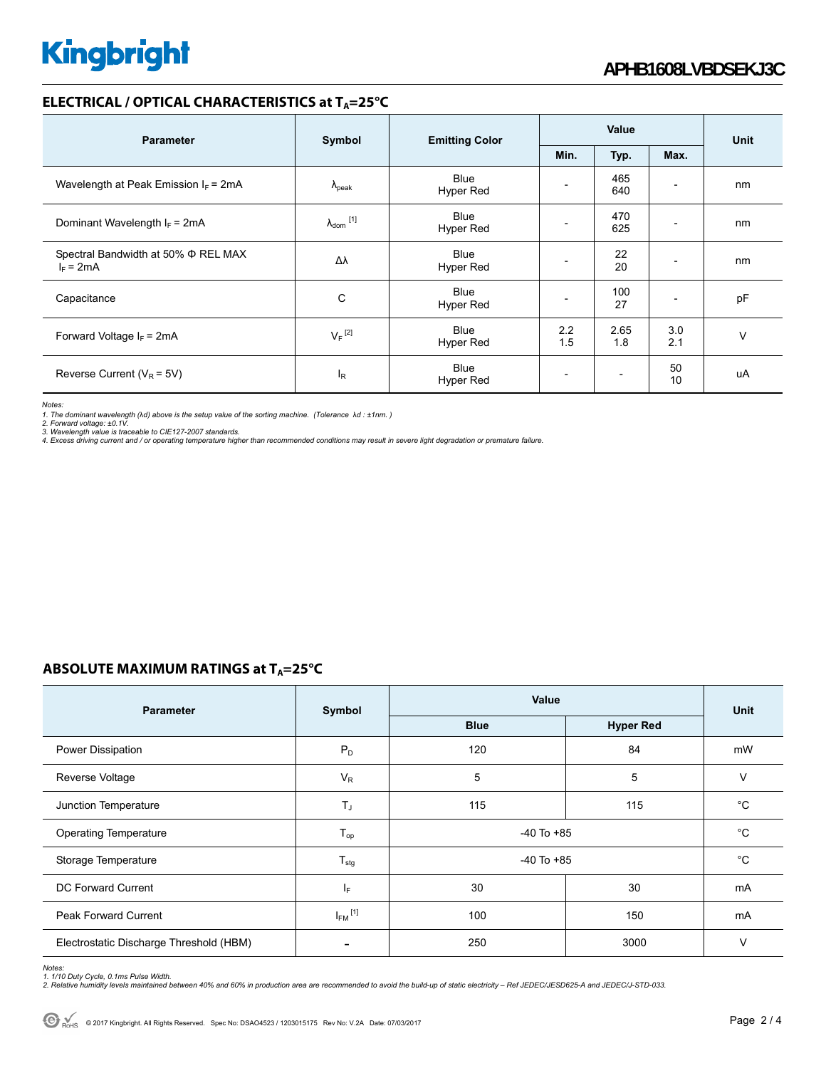### **ELECTRICAL / OPTICAL CHARACTERISTICS at T<sub>A</sub>=25°C**

| <b>Parameter</b>                                        | Symbol               | <b>Emitting Color</b>           | Value      |                          |                          | <b>Unit</b> |
|---------------------------------------------------------|----------------------|---------------------------------|------------|--------------------------|--------------------------|-------------|
|                                                         |                      |                                 | Min.       | Typ.                     | Max.                     |             |
| Wavelength at Peak Emission $I_F$ = 2mA                 | $\Lambda_{\rm peak}$ | Blue<br>Hyper Red               |            | 465<br>640               | $\overline{\phantom{0}}$ | nm          |
| Dominant Wavelength $I_F$ = 2mA                         | $\lambda_{dom}$ [1]  | <b>Blue</b><br><b>Hyper Red</b> |            | 470<br>625               | -                        | nm          |
| Spectral Bandwidth at 50% $\Phi$ REL MAX<br>$I_F = 2mA$ | Δλ                   | Blue<br>Hyper Red               |            | 22<br>20                 |                          | nm          |
| Capacitance                                             | C                    | <b>Blue</b><br>Hyper Red        |            | 100<br>27                |                          | pF          |
| Forward Voltage $I_F$ = 2mA                             | $V_F$ <sup>[2]</sup> | <b>Blue</b><br>Hyper Red        | 2.2<br>1.5 | 2.65<br>1.8              | 3.0<br>2.1               | $\vee$      |
| Reverse Current ( $V_R$ = 5V)                           | $I_R$                | <b>Blue</b><br>Hyper Red        |            | $\overline{\phantom{a}}$ | 50<br>10                 | uA          |

*Notes:* 

1. The dominant wavelength (λd) above is the setup value of the sorting machine. (Tolerance λd : ±1nm. )<br>2. Forward voltage: ±0.1V.<br>3. Wavelength value is traceable to CIE127-2007 standards.<br>4. Excess driving current and /

## **ABSOLUTE MAXIMUM RATINGS at T<sub>A</sub>=25°C**

| <b>Parameter</b>                        | Symbol                   | Value          | <b>Unit</b>      |             |
|-----------------------------------------|--------------------------|----------------|------------------|-------------|
|                                         |                          | <b>Blue</b>    | <b>Hyper Red</b> |             |
| Power Dissipation                       | $P_D$                    | 120            | 84               | mW          |
| Reverse Voltage                         | $V_R$                    | 5              | 5                | $\vee$      |
| Junction Temperature                    | $T_J$                    | 115            | 115              | $^{\circ}C$ |
| <b>Operating Temperature</b>            | $T_{op}$                 | $-40$ To $+85$ | $^{\circ}C$      |             |
| Storage Temperature                     | $T_{\text{stg}}$         | $-40$ To $+85$ | $^{\circ}C$      |             |
| DC Forward Current                      | lF.                      | 30             | 30               | mA          |
| <b>Peak Forward Current</b>             | $I_{FM}$ <sup>[1]</sup>  | 100            | 150              | mA          |
| Electrostatic Discharge Threshold (HBM) | $\overline{\phantom{0}}$ | 250            | 3000             | $\vee$      |

*Notes:* 

1. 1/10 Duty Cycle, 0.1ms Pulse Width.<br>2. Relative humidity levels maintained between 40% and 60% in production area are recommended to avoid the build-up of static electricity – Ref JEDEC/JESD625-A and JEDEC/J-STD-033.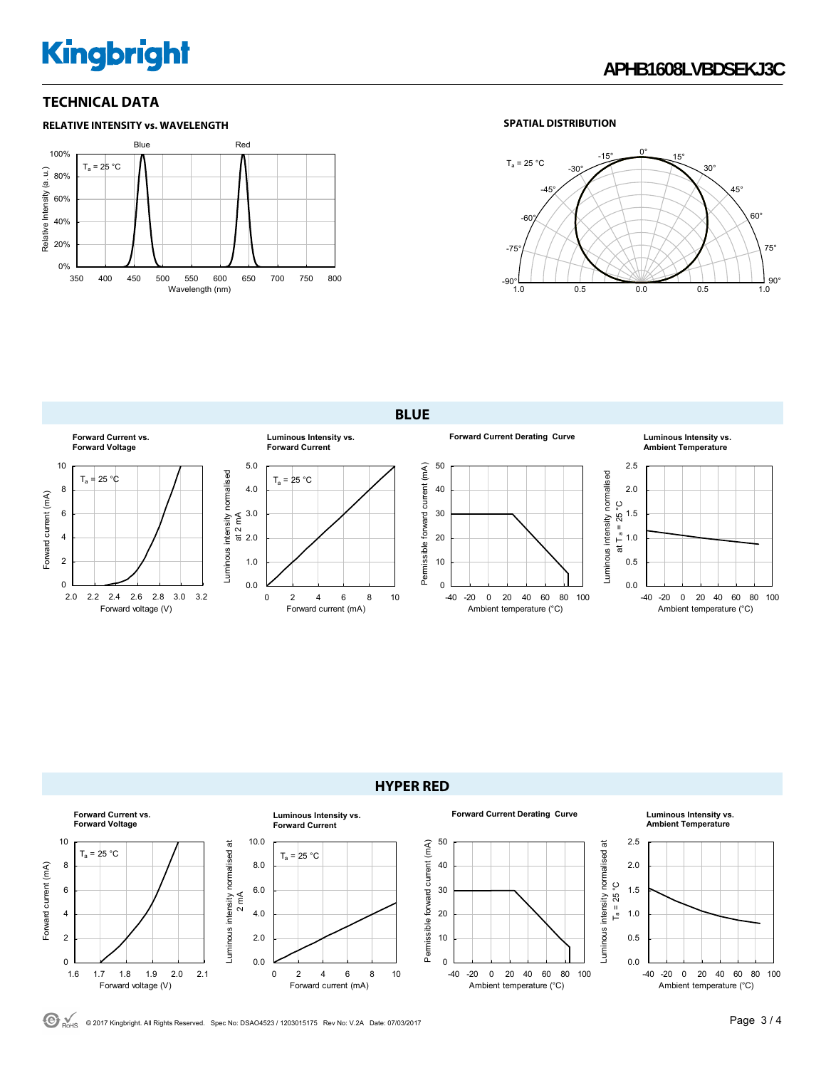# **Kingbright**

### **TECHNICAL DATA**



#### **SPATIAL DISTRIBUTION**



**BLUE** 





 $\bigodot$ <sub>RoHS</sub> © 2017 Kingbright. All Rights Reserved. Spec No: DSAO4523 / 1203015175 Rev No: V.2A Date: 07/03/2017